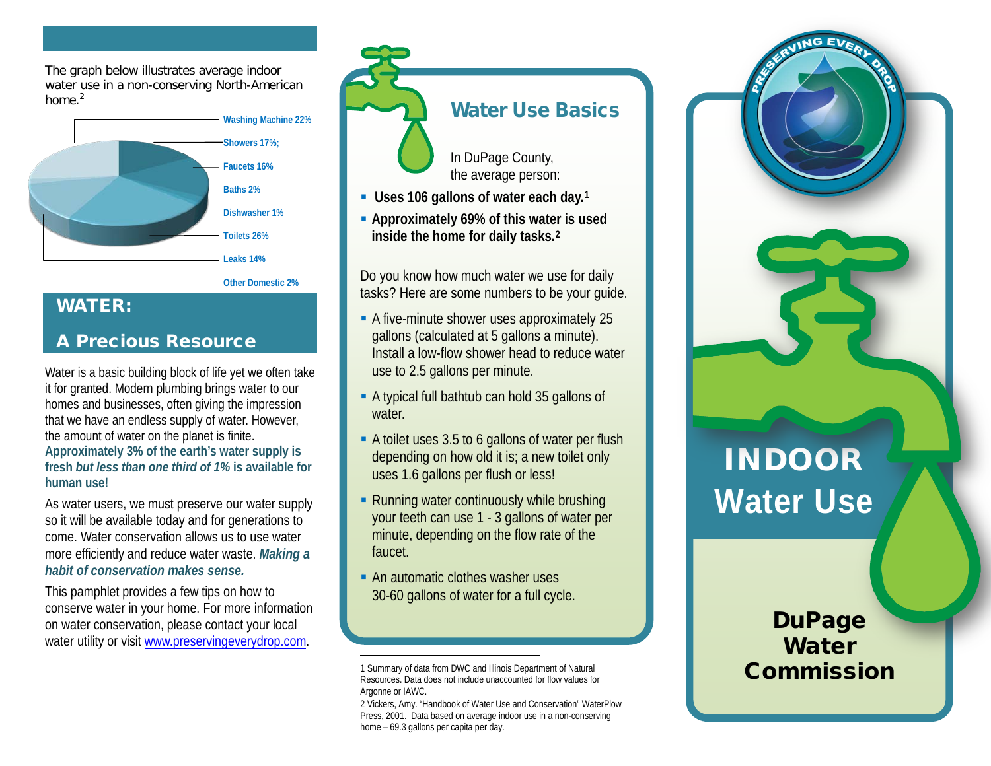The graph below illustrates average indoor water use in a non-conserving North-American home. $<sup>2</sup>$ </sup>



**Other Domestic 2%**

#### WATER:

#### A Precious Resource

Water is a basic building block of life yet we often take it for granted. Modern plumbing brings water to our homes and businesses, often giving the impression that we have an endless supply of water. However, the amount of water on the planet is finite. **Approximately 3% of the earth's water supply is fresh** *but less than one third of 1%* **is available for human use!**

As water users, we must preserve our water supply so it will be available today and for generations to come. Water conservation allows us to use water more efficiently and reduce water waste. *Making a habit of conservation makes sense.*

This pamphlet provides a few tips on how to conserve water in your home. For more information on water conservation, please contact your local water utility or visit [www.preservingeverydrop.com.](http://www.preservingeverydrop.com/)

Water Use Basics

In DuPage County, the average person:

- **Uses 106 gallons of water each day.[1](#page-0-0)**
- **Approximately 69% of this water is used inside the home for daily tasks.[2](#page-0-1)**

Do you know how much water we use for daily tasks? Here are some numbers to be your guide.

- A five-minute shower uses approximately 25 gallons (calculated at 5 gallons a minute). Install a low-flow shower head to reduce water use to 2.5 gallons per minute.
- A typical full bathtub can hold 35 gallons of water.
- A toilet uses 3.5 to 6 gallons of water per flush depending on how old it is; a new toilet only uses 1.6 gallons per flush or less!
- **Running water continuously while brushing** your teeth can use 1 - 3 gallons of water per minute, depending on the flow rate of the faucet.
- **An automatic clothes washer uses** 30-60 gallons of water for a full cycle.

 $\overline{a}$ 

2 Vickers, Amy. "Handbook of Water Use and Conservation" WaterPlow Press, 2001. Data based on average indoor use in a non-conserving home – 69.3 gallons per capita per day.

<span id="page-0-1"></span><span id="page-0-0"></span>INDOOR **Water Use**

> **DuPage Water** Commission

<sup>1</sup> Summary of data from DWC and Illinois Department of Natural Resources. Data does not include unaccounted for flow values for Argonne or IAWC.